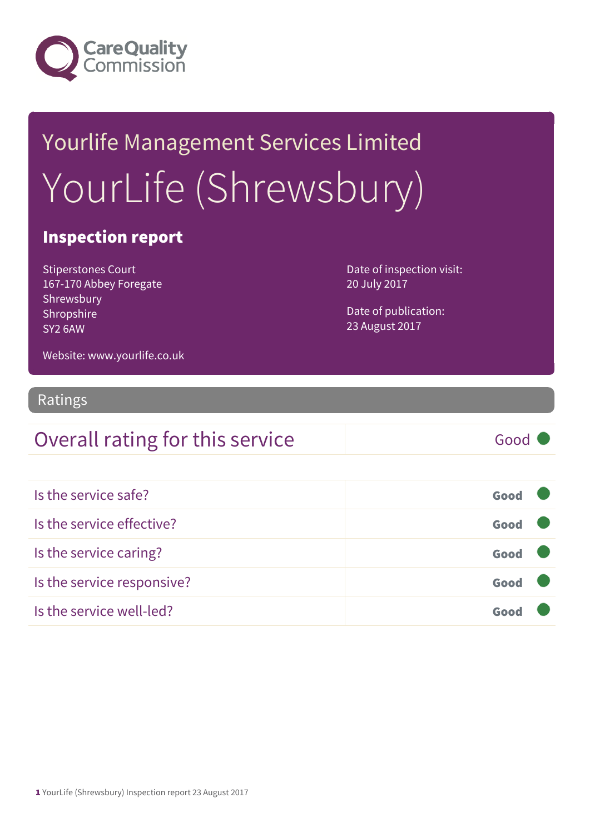

# Yourlife Management Services Limited YourLife (Shrewsbury)

#### Inspection report

Stiperstones Court 167-170 Abbey Foregate Shrewsbury Shropshire SY2 6AW

Date of inspection visit: 20 July 2017

Date of publication: 23 August 2017

Website: www.yourlife.co.uk

#### Ratings

#### Overall rating for this service Good

| Is the service safe?       | Good |
|----------------------------|------|
| Is the service effective?  | Good |
| Is the service caring?     | Good |
| Is the service responsive? | Good |
| Is the service well-led?   | Goo  |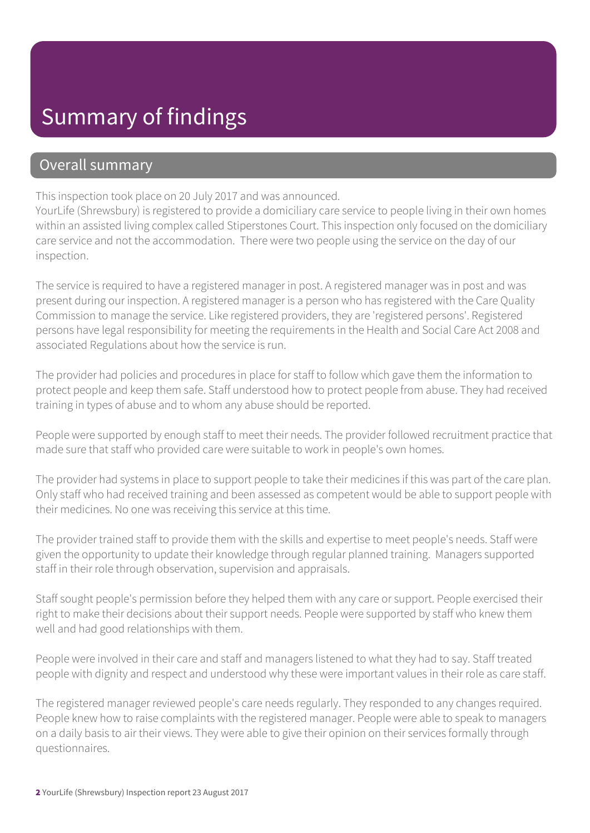### Summary of findings

#### Overall summary

This inspection took place on 20 July 2017 and was announced.

YourLife (Shrewsbury) is registered to provide a domiciliary care service to people living in their own homes within an assisted living complex called Stiperstones Court. This inspection only focused on the domiciliary care service and not the accommodation. There were two people using the service on the day of our inspection.

The service is required to have a registered manager in post. A registered manager was in post and was present during our inspection. A registered manager is a person who has registered with the Care Quality Commission to manage the service. Like registered providers, they are 'registered persons'. Registered persons have legal responsibility for meeting the requirements in the Health and Social Care Act 2008 and associated Regulations about how the service is run.

The provider had policies and procedures in place for staff to follow which gave them the information to protect people and keep them safe. Staff understood how to protect people from abuse. They had received training in types of abuse and to whom any abuse should be reported.

People were supported by enough staff to meet their needs. The provider followed recruitment practice that made sure that staff who provided care were suitable to work in people's own homes.

The provider had systems in place to support people to take their medicines if this was part of the care plan. Only staff who had received training and been assessed as competent would be able to support people with their medicines. No one was receiving this service at this time.

The provider trained staff to provide them with the skills and expertise to meet people's needs. Staff were given the opportunity to update their knowledge through regular planned training. Managers supported staff in their role through observation, supervision and appraisals.

Staff sought people's permission before they helped them with any care or support. People exercised their right to make their decisions about their support needs. People were supported by staff who knew them well and had good relationships with them.

People were involved in their care and staff and managers listened to what they had to say. Staff treated people with dignity and respect and understood why these were important values in their role as care staff.

The registered manager reviewed people's care needs regularly. They responded to any changes required. People knew how to raise complaints with the registered manager. People were able to speak to managers on a daily basis to air their views. They were able to give their opinion on their services formally through questionnaires.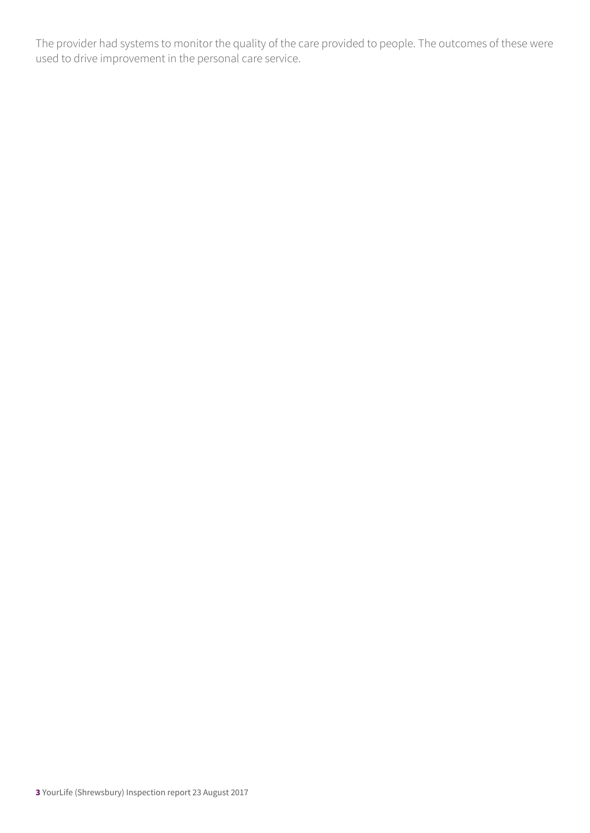The provider had systems to monitor the quality of the care provided to people. The outcomes of these were used to drive improvement in the personal care service.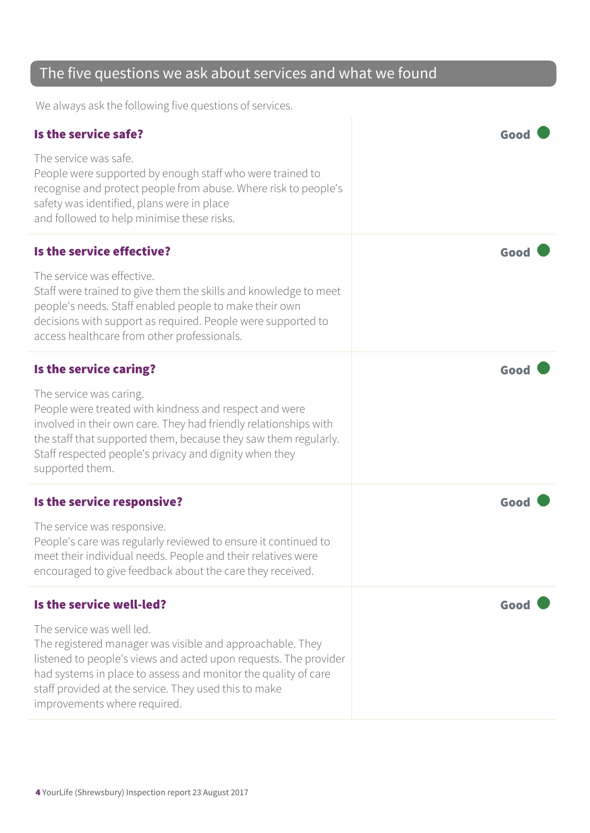#### The five questions we ask about services and what we found

We always ask the following five questions of services.

| Is the service safe?                                                                                                                                                                                                                                                                                                  | Good |
|-----------------------------------------------------------------------------------------------------------------------------------------------------------------------------------------------------------------------------------------------------------------------------------------------------------------------|------|
| The service was safe.<br>People were supported by enough staff who were trained to<br>recognise and protect people from abuse. Where risk to people's<br>safety was identified, plans were in place<br>and followed to help minimise these risks.                                                                     |      |
| Is the service effective?                                                                                                                                                                                                                                                                                             | Good |
| The service was effective.<br>Staff were trained to give them the skills and knowledge to meet<br>people's needs. Staff enabled people to make their own<br>decisions with support as required. People were supported to<br>access healthcare from other professionals.                                               |      |
| Is the service caring?                                                                                                                                                                                                                                                                                                | Good |
| The service was caring.<br>People were treated with kindness and respect and were<br>involved in their own care. They had friendly relationships with<br>the staff that supported them, because they saw them regularly.<br>Staff respected people's privacy and dignity when they<br>supported them.                 |      |
| Is the service responsive?                                                                                                                                                                                                                                                                                            | Good |
| The service was responsive.<br>People's care was regularly reviewed to ensure it continued to<br>meet their individual needs. People and their relatives were<br>encouraged to give feedback about the care they received.                                                                                            |      |
| Is the service well-led?                                                                                                                                                                                                                                                                                              | Good |
| The service was well led.<br>The registered manager was visible and approachable. They<br>listened to people's views and acted upon requests. The provider<br>had systems in place to assess and monitor the quality of care<br>staff provided at the service. They used this to make<br>improvements where required. |      |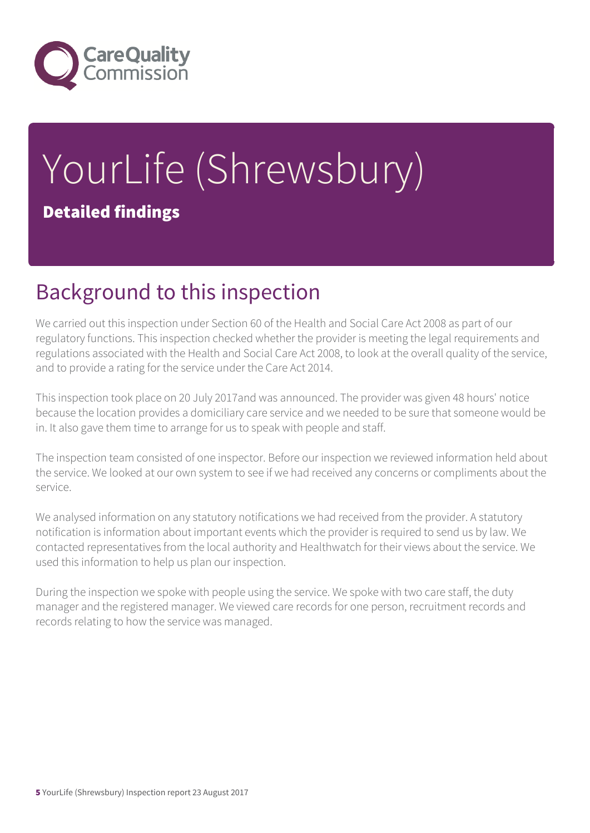

# YourLife (Shrewsbury) Detailed findings

### Background to this inspection

We carried out this inspection under Section 60 of the Health and Social Care Act 2008 as part of our regulatory functions. This inspection checked whether the provider is meeting the legal requirements and regulations associated with the Health and Social Care Act 2008, to look at the overall quality of the service, and to provide a rating for the service under the Care Act 2014.

This inspection took place on 20 July 2017and was announced. The provider was given 48 hours' notice because the location provides a domiciliary care service and we needed to be sure that someone would be in. It also gave them time to arrange for us to speak with people and staff.

The inspection team consisted of one inspector. Before our inspection we reviewed information held about the service. We looked at our own system to see if we had received any concerns or compliments about the service.

We analysed information on any statutory notifications we had received from the provider. A statutory notification is information about important events which the provider is required to send us by law. We contacted representatives from the local authority and Healthwatch for their views about the service. We used this information to help us plan our inspection.

During the inspection we spoke with people using the service. We spoke with two care staff, the duty manager and the registered manager. We viewed care records for one person, recruitment records and records relating to how the service was managed.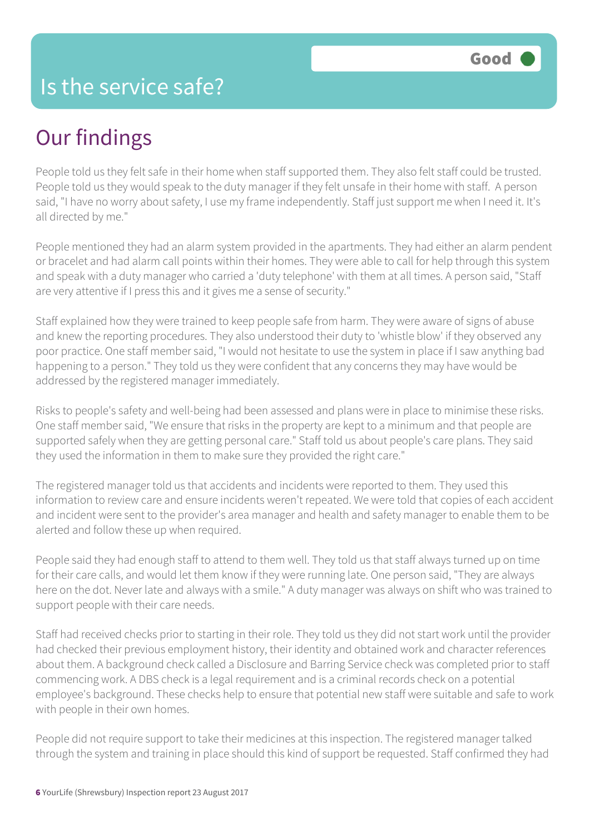## Our findings

People told us they felt safe in their home when staff supported them. They also felt staff could be trusted. People told us they would speak to the duty manager if they felt unsafe in their home with staff. A person said, "I have no worry about safety, I use my frame independently. Staff just support me when I need it. It's all directed by me."

People mentioned they had an alarm system provided in the apartments. They had either an alarm pendent or bracelet and had alarm call points within their homes. They were able to call for help through this system and speak with a duty manager who carried a 'duty telephone' with them at all times. A person said, "Staff are very attentive if I press this and it gives me a sense of security."

Staff explained how they were trained to keep people safe from harm. They were aware of signs of abuse and knew the reporting procedures. They also understood their duty to 'whistle blow' if they observed any poor practice. One staff member said, "I would not hesitate to use the system in place if I saw anything bad happening to a person." They told us they were confident that any concerns they may have would be addressed by the registered manager immediately.

Risks to people's safety and well-being had been assessed and plans were in place to minimise these risks. One staff member said, "We ensure that risks in the property are kept to a minimum and that people are supported safely when they are getting personal care." Staff told us about people's care plans. They said they used the information in them to make sure they provided the right care."

The registered manager told us that accidents and incidents were reported to them. They used this information to review care and ensure incidents weren't repeated. We were told that copies of each accident and incident were sent to the provider's area manager and health and safety manager to enable them to be alerted and follow these up when required.

People said they had enough staff to attend to them well. They told us that staff always turned up on time for their care calls, and would let them know if they were running late. One person said, "They are always here on the dot. Never late and always with a smile." A duty manager was always on shift who was trained to support people with their care needs.

Staff had received checks prior to starting in their role. They told us they did not start work until the provider had checked their previous employment history, their identity and obtained work and character references about them. A background check called a Disclosure and Barring Service check was completed prior to staff commencing work. A DBS check is a legal requirement and is a criminal records check on a potential employee's background. These checks help to ensure that potential new staff were suitable and safe to work with people in their own homes.

People did not require support to take their medicines at this inspection. The registered manager talked through the system and training in place should this kind of support be requested. Staff confirmed they had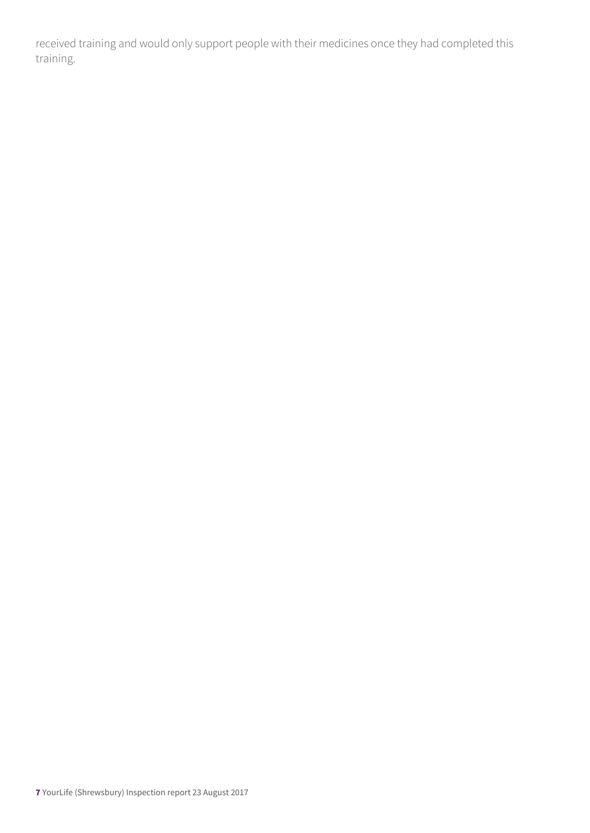received training and would only support people with their medicines once they had completed this training.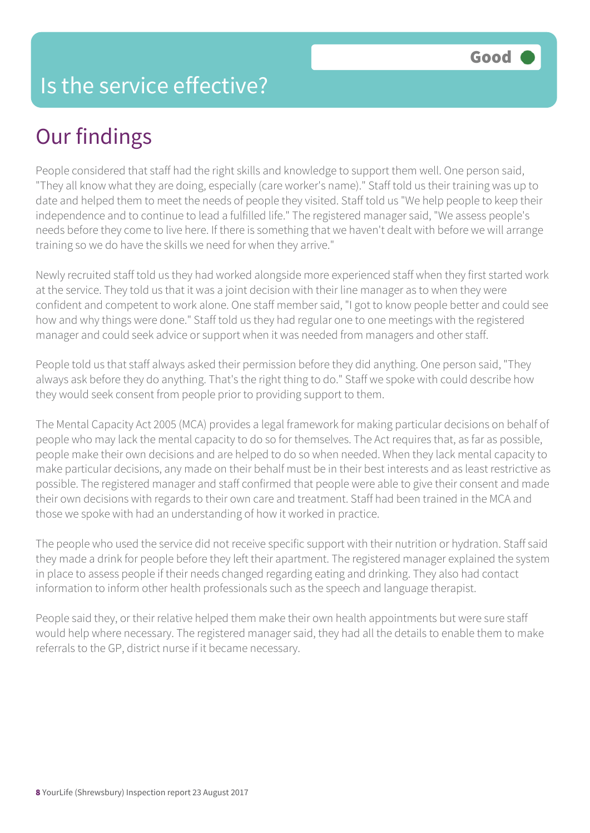#### Is the service effective?

### Our findings

People considered that staff had the right skills and knowledge to support them well. One person said, "They all know what they are doing, especially (care worker's name)." Staff told us their training was up to date and helped them to meet the needs of people they visited. Staff told us "We help people to keep their independence and to continue to lead a fulfilled life." The registered manager said, "We assess people's needs before they come to live here. If there is something that we haven't dealt with before we will arrange training so we do have the skills we need for when they arrive."

Newly recruited staff told us they had worked alongside more experienced staff when they first started work at the service. They told us that it was a joint decision with their line manager as to when they were confident and competent to work alone. One staff member said, "I got to know people better and could see how and why things were done." Staff told us they had regular one to one meetings with the registered manager and could seek advice or support when it was needed from managers and other staff.

People told us that staff always asked their permission before they did anything. One person said, "They always ask before they do anything. That's the right thing to do." Staff we spoke with could describe how they would seek consent from people prior to providing support to them.

The Mental Capacity Act 2005 (MCA) provides a legal framework for making particular decisions on behalf of people who may lack the mental capacity to do so for themselves. The Act requires that, as far as possible, people make their own decisions and are helped to do so when needed. When they lack mental capacity to make particular decisions, any made on their behalf must be in their best interests and as least restrictive as possible. The registered manager and staff confirmed that people were able to give their consent and made their own decisions with regards to their own care and treatment. Staff had been trained in the MCA and those we spoke with had an understanding of how it worked in practice.

The people who used the service did not receive specific support with their nutrition or hydration. Staff said they made a drink for people before they left their apartment. The registered manager explained the system in place to assess people if their needs changed regarding eating and drinking. They also had contact information to inform other health professionals such as the speech and language therapist.

People said they, or their relative helped them make their own health appointments but were sure staff would help where necessary. The registered manager said, they had all the details to enable them to make referrals to the GP, district nurse if it became necessary.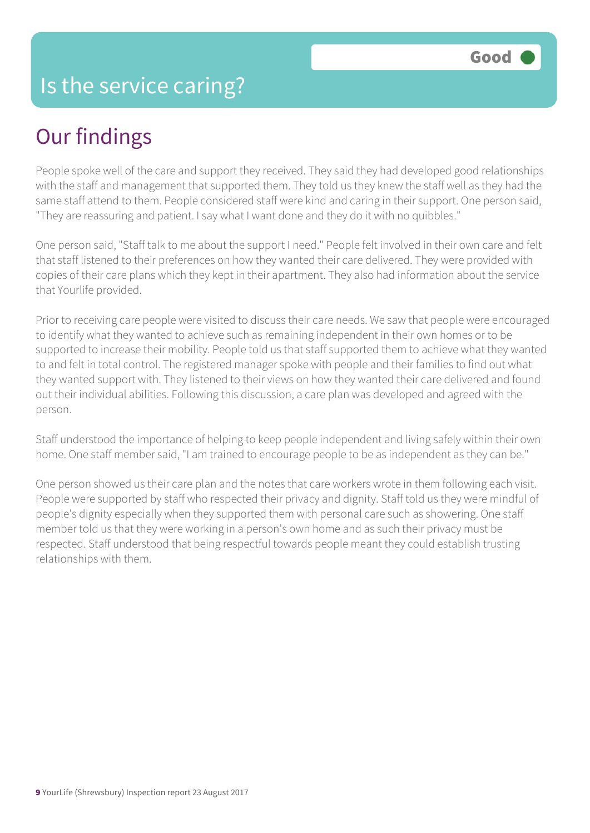## Our findings

People spoke well of the care and support they received. They said they had developed good relationships with the staff and management that supported them. They told us they knew the staff well as they had the same staff attend to them. People considered staff were kind and caring in their support. One person said, "They are reassuring and patient. I say what I want done and they do it with no quibbles."

One person said, "Staff talk to me about the support I need." People felt involved in their own care and felt that staff listened to their preferences on how they wanted their care delivered. They were provided with copies of their care plans which they kept in their apartment. They also had information about the service that Yourlife provided.

Prior to receiving care people were visited to discuss their care needs. We saw that people were encouraged to identify what they wanted to achieve such as remaining independent in their own homes or to be supported to increase their mobility. People told us that staff supported them to achieve what they wanted to and felt in total control. The registered manager spoke with people and their families to find out what they wanted support with. They listened to their views on how they wanted their care delivered and found out their individual abilities. Following this discussion, a care plan was developed and agreed with the person.

Staff understood the importance of helping to keep people independent and living safely within their own home. One staff member said, "I am trained to encourage people to be as independent as they can be."

One person showed us their care plan and the notes that care workers wrote in them following each visit. People were supported by staff who respected their privacy and dignity. Staff told us they were mindful of people's dignity especially when they supported them with personal care such as showering. One staff member told us that they were working in a person's own home and as such their privacy must be respected. Staff understood that being respectful towards people meant they could establish trusting relationships with them.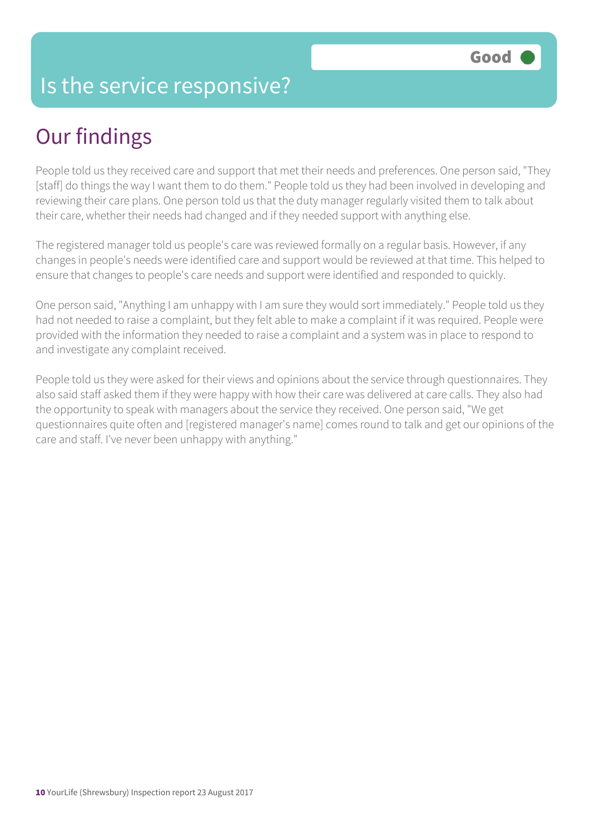#### Is the service responsive?

## Our findings

People told us they received care and support that met their needs and preferences. One person said, "They [staff] do things the way I want them to do them." People told us they had been involved in developing and reviewing their care plans. One person told us that the duty manager regularly visited them to talk about their care, whether their needs had changed and if they needed support with anything else.

The registered manager told us people's care was reviewed formally on a regular basis. However, if any changes in people's needs were identified care and support would be reviewed at that time. This helped to ensure that changes to people's care needs and support were identified and responded to quickly.

One person said, "Anything I am unhappy with I am sure they would sort immediately." People told us they had not needed to raise a complaint, but they felt able to make a complaint if it was required. People were provided with the information they needed to raise a complaint and a system was in place to respond to and investigate any complaint received.

People told us they were asked for their views and opinions about the service through questionnaires. They also said staff asked them if they were happy with how their care was delivered at care calls. They also had the opportunity to speak with managers about the service they received. One person said, "We get questionnaires quite often and [registered manager's name] comes round to talk and get our opinions of the care and staff. I've never been unhappy with anything."